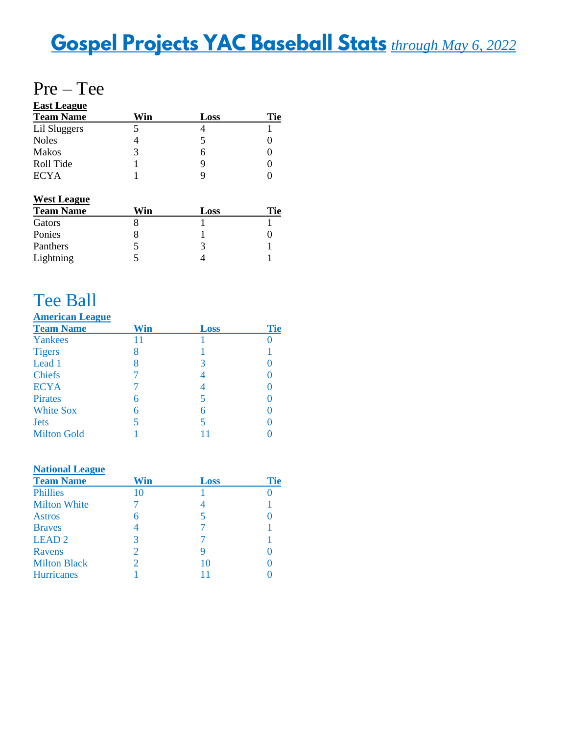# **Gospel Projects YAC Baseball Stats** through May 6, 2022

## Pre – Tee

| <b>East League</b> |     |      |     |
|--------------------|-----|------|-----|
| <b>Team Name</b>   | Win | Loss | Tie |
| Lil Sluggers       |     |      |     |
| <b>Noles</b>       |     |      |     |
| <b>Makos</b>       | 3   | 6    |     |
| Roll Tide          |     |      |     |
| <b>ECYA</b>        |     |      |     |

### **West League**

| Vin | Loss | Fie |
|-----|------|-----|
|     |      |     |
|     |      |     |
|     |      |     |
|     |      |     |
|     |      |     |

# Tee Ball

#### **American League**

| <b>Team Name</b>   | Win | Loss | <b>Tie</b> |
|--------------------|-----|------|------------|
| Yankees            | 11  |      |            |
| <b>Tigers</b>      | 8   |      |            |
| Lead 1             | 8   | 3    |            |
| <b>Chiefs</b>      |     | 4    |            |
| <b>ECYA</b>        |     |      |            |
| <b>Pirates</b>     | 6   | 5    |            |
| <b>White Sox</b>   | 6   | 6    |            |
| <b>Jets</b>        | 5   | 5    |            |
| <b>Milton Gold</b> |     |      |            |

#### **National League**

| <b>Team Name</b>    | Win           | Loss | <b>Tie</b> |
|---------------------|---------------|------|------------|
| <b>Phillies</b>     | 10            |      |            |
| <b>Milton White</b> |               | 4    |            |
| <b>Astros</b>       |               |      |            |
| <b>Braves</b>       |               |      |            |
| <b>LEAD2</b>        | 3             |      |            |
| Ravens              | $\mathcal{D}$ |      |            |
| <b>Milton Black</b> |               | 10   |            |
| <b>Hurricanes</b>   |               |      |            |